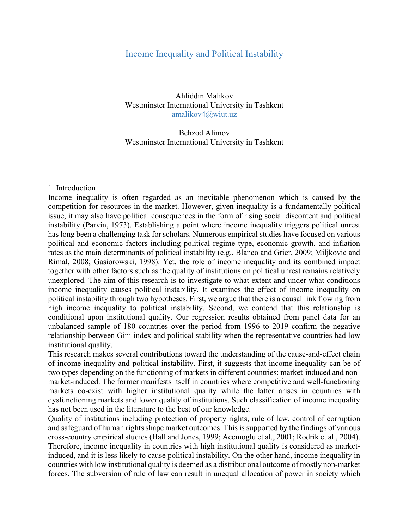## Income Inequality and Political Instability

Ahliddin Malikov Westminster International University in Tashkent amalikov4@wiut.uz

Behzod Alimov Westminster International University in Tashkent

## 1. Introduction

Income inequality is often regarded as an inevitable phenomenon which is caused by the competition for resources in the market. However, given inequality is a fundamentally political issue, it may also have political consequences in the form of rising social discontent and political instability (Parvin, 1973). Establishing a point where income inequality triggers political unrest has long been a challenging task for scholars. Numerous empirical studies have focused on various political and economic factors including political regime type, economic growth, and inflation rates as the main determinants of political instability (e.g., Blanco and Grier, 2009; Miljkovic and Rimal, 2008; Gasiorowski, 1998). Yet, the role of income inequality and its combined impact together with other factors such as the quality of institutions on political unrest remains relatively unexplored. The aim of this research is to investigate to what extent and under what conditions income inequality causes political instability. It examines the effect of income inequality on political instability through two hypotheses. First, we argue that there is a causal link flowing from high income inequality to political instability. Second, we contend that this relationship is conditional upon institutional quality. Our regression results obtained from panel data for an unbalanced sample of 180 countries over the period from 1996 to 2019 confirm the negative relationship between Gini index and political stability when the representative countries had low institutional quality.

This research makes several contributions toward the understanding of the cause-and-effect chain of income inequality and political instability. First, it suggests that income inequality can be of two types depending on the functioning of markets in different countries: market-induced and nonmarket-induced. The former manifests itself in countries where competitive and well-functioning markets co-exist with higher institutional quality while the latter arises in countries with dysfunctioning markets and lower quality of institutions. Such classification of income inequality has not been used in the literature to the best of our knowledge.

Quality of institutions including protection of property rights, rule of law, control of corruption and safeguard of human rights shape market outcomes. This is supported by the findings of various cross-country empirical studies (Hall and Jones, 1999; Acemoglu et al., 2001; Rodrik et al., 2004). Therefore, income inequality in countries with high institutional quality is considered as marketinduced, and it is less likely to cause political instability. On the other hand, income inequality in countries with low institutional quality is deemed as a distributional outcome of mostly non-market forces. The subversion of rule of law can result in unequal allocation of power in society which